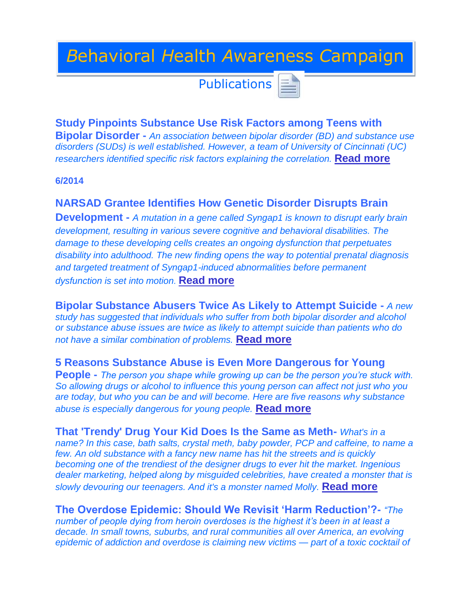# *B*ehavioral *H*ealth *A*wareness *C*ampaign

**Publications** 

**Study Pinpoints Substance Use Risk Factors among Teens with Bipolar Disorder -** *An association between bipolar disorder (BD) and substance use disorders (SUDs) is well established. However, a team of University of Cincinnati (UC) researchers identified specific risk factors explaining the correlation.* **[Read more](http://www.hcplive.com/articles/Study-Pinpoints-Substance-Use-Risk-Factors-among-Teens-with-Bipolar-Disorder)**

**6/2014**

**NARSAD Grantee Identifies How Genetic Disorder Disrupts Brain** 

**Development -** *A mutation in a gene called Syngap1 is known to disrupt early brain development, resulting in various severe cognitive and behavioral disabilities. The damage to these developing cells creates an ongoing dysfunction that perpetuates disability into adulthood. The new finding opens the way to potential prenatal diagnosis and targeted treatment of Syngap1-induced abnormalities before permanent dysfunction is set into motion.* **[Read more](http://bbrfoundation.org/brain-matters-discoveries/narsad-grantee-identifies-how-genetic-disorder-disrupts-brain-development?utm_source=eNews%20List&utm_campaign=c56654ca60-eNews_7_15_2014&utm_medium=email&utm_term=0_fb7d503c0e-c56654ca60-159663305)**

**Bipolar Substance Abusers Twice As Likely to Attempt Suicide -** *A new study has suggested that individuals who suffer from both bipolar disorder and alcohol or substance abuse issues are twice as likely to attempt suicide than patients who do not have a similar combination of problems.* **[Read more](http://naadac.informz.net/z/cjUucD9taT0zNDY0NjU2JnA9MSZ1PTgwNDcyNDYzMCZsaT0yMDEyODAxMw/index.html)**

**5 Reasons Substance Abuse is Even More Dangerous for Young People -** *The person you shape while growing up can be the person you're stuck with. So allowing drugs or alcohol to influence this young person can affect not just who you are today, but who you can be and will become. Here are five reasons why substance abuse is especially dangerous for young people.* **[Read more](http://naadac.informz.net/z/cjUucD9taT0zNDY0NjU2JnA9MSZ1PTgwNDcyNDYzMCZsaT0yMDEyODAxMA/index.html)**

**That 'Trendy' Drug Your Kid Does Is the Same as Meth-** *What's in a name? In this case, bath salts, crystal meth, baby powder, PCP and caffeine, to name a few. An old substance with a fancy new name has hit the streets and is quickly becoming one of the trendiest of the designer drugs to ever hit the market. Ingenious dealer marketing, helped along by misguided celebrities, have created a monster that is slowly devouring our teenagers. And it's a monster named Molly.* **[Read more](http://naadac.informz.net/z/cjUucD9taT0zNDI5NTg2JnA9MSZ1PTgwNDcyNDYzMCZsaT0xOTg1NDgwOA/index.html)**

**The Overdose Epidemic: Should We Revisit 'Harm Reduction'?-** *"The number of people dying from heroin overdoses is the highest it's been in at least a decade. In small towns, suburbs, and rural communities all over America, an evolving epidemic of addiction and overdose is claiming new victims — part of a toxic cocktail of*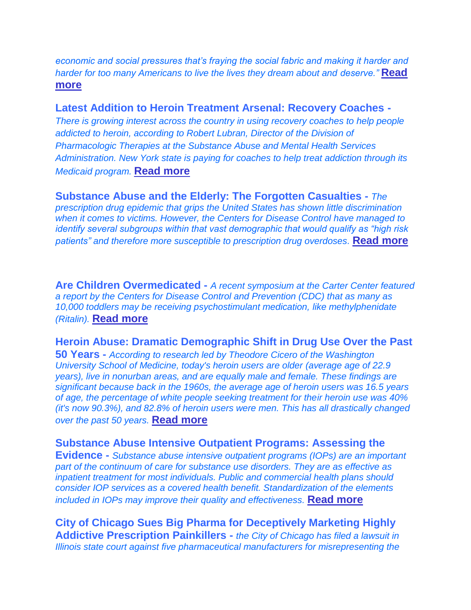*economic and social pressures that's fraying the social fabric and making it harder and harder for too many Americans to live the lives they dream about and deserve."* **[Read](http://www.thenationalcouncil.org/lindas-corner-office/2014/06/heroin-epidemic-revisit-harm-reduction/)  [more](http://www.thenationalcouncil.org/lindas-corner-office/2014/06/heroin-epidemic-revisit-harm-reduction/)**

# **Latest Addition to Heroin Treatment Arsenal: Recovery Coaches -**

*There is growing interest across the country in using recovery coaches to help people addicted to heroin, according to Robert Lubran, Director of the Division of Pharmacologic Therapies at the Substance Abuse and Mental Health Services Administration. New York state is paying for coaches to help treat addiction through its Medicaid program.* **[Read more](http://www.drugfree.org/join-together/recovery-coaches-latest-addition-heroin-treatment-arsenal/)**

**Substance Abuse and the Elderly: The Forgotten Casualties -** *The prescription drug epidemic that grips the United States has shown little discrimination when it comes to victims. However, the Centers for Disease Control have managed to identify several subgroups within that vast demographic that would qualify as "high risk patients" and therefore more susceptible to prescription drug overdoses.* **[Read more](http://naadac.informz.net/z/cjUucD9taT0zNDI5NTg2JnA9MSZ1PTgwNDcyNDYzMCZsaT0xOTg1NDc5Mg/index.html)**

**Are Children Overmedicated -** *A recent symposium at the Carter Center featured a report by the Centers for Disease Control and Prevention (CDC) that as many as 10,000 toddlers may be receiving psychostimulant medication, like methylphenidate (Ritalin).* **[Read more](http://www.nimh.nih.gov/about/director/2014/are-children-overmedicated.shtml)**

# **Heroin Abuse: Dramatic Demographic Shift in Drug Use Over the Past**

**50 Years -** *According to research led by Theodore Cicero of the Washington University School of Medicine, today's heroin users are older (average age of 22.9 years), live in nonurban areas, and are equally male and female. These findings are significant because back in the 1960s, the average age of heroin users was 16.5 years of age, the percentage of white people seeking treatment for their heroin use was 40% (it's now 90.3%), and 82.8% of heroin users were men. This has all drastically changed over the past 50 years.* **[Read more](http://naadac.informz.net/z/cjUucD9taT0zNDI5NTg2JnA9MSZ1PTgwNDcyNDYzMCZsaT0xOTg1NDgwMg/index.html)**

## **Substance Abuse Intensive Outpatient Programs: Assessing the**

**Evidence -** *Substance abuse intensive outpatient programs (IOPs) are an important part of the continuum of care for substance use disorders. They are as effective as inpatient treatment for most individuals. Public and commercial health plans should consider IOP services as a covered health benefit. Standardization of the elements included in IOPs may improve their quality and effectiveness.* **[Read more](http://naadac.informz.net/z/cjUucD9taT0zNDI5NTg2JnA9MSZ1PTgwNDcyNDYzMCZsaT0xOTg1NDgwOQ/index.html)**

**City of Chicago Sues Big Pharma for Deceptively Marketing Highly Addictive Prescription Painkillers -** *the City of Chicago has filed a lawsuit in Illinois state court against five pharmaceutical manufacturers for misrepresenting the*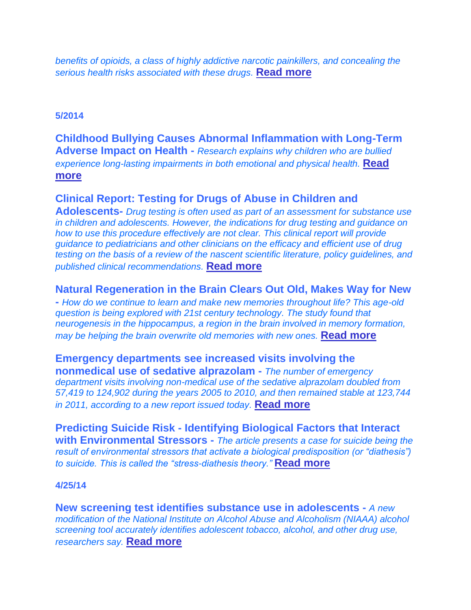*benefits of opioids, a class of highly addictive narcotic painkillers, and concealing the serious health risks associated with these drugs.* **[Read more](http://www.nassaucountyny.gov/agencies/MentalHealth/Docs/PDF/Chicago.pdf)**

## **5/2014**

**Childhood Bullying Causes Abnormal Inflammation with Long-Term Adverse Impact on Health -** *Research explains why children who are bullied experience long-lasting impairments in both emotional and physical health.* **[Read](http://r20.rs6.net/tn.jsp?f=001zE2zw8TeIJxSgU-GM_YNpWXaUnXliv2uTzlgeQnYW-Kvditjomc8lkoQ20cEY6KbpaBccAEY-PurI6-BIOQBlJb5qBev072RuksQnX2Lbdcbfc5tE23ID8BTzmijayNUY74rmeBLbtBHldMplOBwlEPwKAby1Dqak2wRFoEYcrQXPbeNItDqEQUf5pKzmjDWlDn6uhfmk4cVoE1b89Yy0I5gudfTcxU0V7T6DPmD3UEbXtAq36J2_ccIi9x1ZuuUkU8PPyFWd4fZ3SxZzk6mF7nXOKTwcFGAT04DYJt_5Cy2WTLudRSCdg==&c=MiCpVFUk2ftzXC6oOwjB_Wq1qpQYSbaSe0_oYVQF5qFsCOhv6cRBjQ==&ch=M3rcddWgO9r9kzvzXbO2gMJaBDkRWqT_UsKpnkHdZZALwsxUlI4TdA==)  [more](http://r20.rs6.net/tn.jsp?f=001zE2zw8TeIJxSgU-GM_YNpWXaUnXliv2uTzlgeQnYW-Kvditjomc8lkoQ20cEY6KbpaBccAEY-PurI6-BIOQBlJb5qBev072RuksQnX2Lbdcbfc5tE23ID8BTzmijayNUY74rmeBLbtBHldMplOBwlEPwKAby1Dqak2wRFoEYcrQXPbeNItDqEQUf5pKzmjDWlDn6uhfmk4cVoE1b89Yy0I5gudfTcxU0V7T6DPmD3UEbXtAq36J2_ccIi9x1ZuuUkU8PPyFWd4fZ3SxZzk6mF7nXOKTwcFGAT04DYJt_5Cy2WTLudRSCdg==&c=MiCpVFUk2ftzXC6oOwjB_Wq1qpQYSbaSe0_oYVQF5qFsCOhv6cRBjQ==&ch=M3rcddWgO9r9kzvzXbO2gMJaBDkRWqT_UsKpnkHdZZALwsxUlI4TdA==)**

# **Clinical Report: Testing for Drugs of Abuse in Children and**

**Adolescents-** *Drug testing is often used as part of an assessment for substance use in children and adolescents. However, the indications for drug testing and guidance on how to use this procedure effectively are not clear. This clinical report will provide guidance to pediatricians and other clinicians on the efficacy and efficient use of drug testing on the basis of a review of the nascent scientific literature, policy guidelines, and published clinical recommendations.* **[Read more](http://pediatrics.aappublications.org/content/early/2014/05/20/peds.2014-0865)**

# **Natural Regeneration in the Brain Clears Out Old, Makes Way for New**

**-** *How do we continue to learn and make new memories throughout life? This age-old question is being explored with 21st century technology. The study found that neurogenesis in the hippocampus, a region in the brain involved in memory formation, may be helping the brain overwrite old memories with new ones.* **[Read more](http://r20.rs6.net/tn.jsp?f=001zE2zw8TeIJxSgU-GM_YNpWXaUnXliv2uTzlgeQnYW-Kvditjomc8lkoQ20cEY6Kb6aOAJMcmxHISgBgm_KARUDJl33CatI1-iDy7jybDXd4hMVco6HYgloqoChoiRbky_RiosF3ltakD-G44n6fy99qiUXLsfT5t-wOEzsywM46YB15d5l86bUnFDROZS5Vm5U3x_dnzy6WESSZ3CuKPEcrtVZ-VW-dYqJjI8Mgf0ecS7xKFjSpaonFghQKzalJRcRgnx1aROz4_-zOJbNUfR9jFfburLaWMLyyYT2KEK-A=&c=MiCpVFUk2ftzXC6oOwjB_Wq1qpQYSbaSe0_oYVQF5qFsCOhv6cRBjQ==&ch=M3rcddWgO9r9kzvzXbO2gMJaBDkRWqT_UsKpnkHdZZALwsxUlI4TdA==)**

**Emergency departments see increased visits involving the nonmedical use of sedative alprazolam -** *The number of emergency department visits involving non-medical use of the sedative alprazolam doubled from 57,419 to 124,902 during the years 2005 to 2010, and then remained stable at 123,744 in 2011, according to a new report issued today.* **[Read more](http://www.samhsa.gov/newsroom/advisories/1405212723.aspx)**

**Predicting Suicide Risk - Identifying Biological Factors that Interact with Environmental Stressors -** *The article presents a case for suicide being the result of environmental stressors that activate a biological predisposition (or "diathesis") to suicide. This is called the "stress-diathesis theory."* **[Read more](http://r20.rs6.net/tn.jsp?f=001zE2zw8TeIJxSgU-GM_YNpWXaUnXliv2uTzlgeQnYW-Kvditjomc8lkoQ20cEY6KbG6uDXMzpY7uXId-uixcUky1x7g1GZu39PU4q8iBI-6lUC1hmyz0ZtssnOxa53aoSbslAxAi-mLOM8jedix8GckJPKuFcMwVN0dG-5Vah_kCCaF8sKqTVN2Q3ZYahpUNti3e1_jibcD1y0W7JBKDcnROq4EE9MfHIGX0O5qdk1dn1AeGDtqDXXUoDN9eJ_Dip6W-yDiE4J_hkAYWcb1rCP-NjmAoXH4_tLp6vgnFVEHujbd13D7ISj0HXSZWjhQam&c=MiCpVFUk2ftzXC6oOwjB_Wq1qpQYSbaSe0_oYVQF5qFsCOhv6cRBjQ==&ch=M3rcddWgO9r9kzvzXbO2gMJaBDkRWqT_UsKpnkHdZZALwsxUlI4TdA==)**

#### **4/25/14**

**New screening test identifies substance use in adolescents -** *A new modification of the National Institute on Alcohol Abuse and Alcoholism (NIAAA) alcohol screening tool accurately identifies adolescent tobacco, alcohol, and other drug use, researchers say.* **[Read more](http://www.pediatricsconsultant360.com/story/new-screening-test-identifies-substance-use-adolescents)**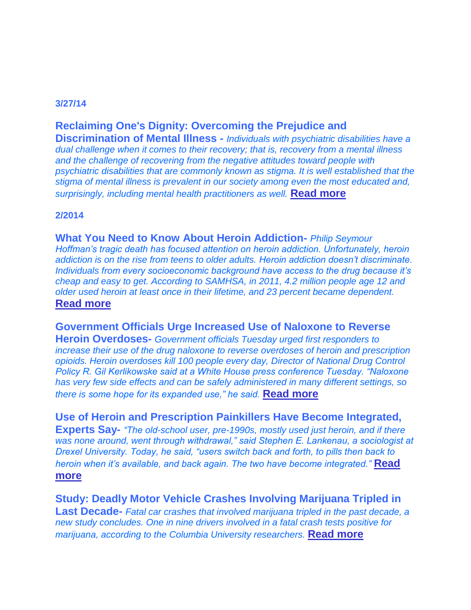## **3/27/14**

# **Reclaiming One's Dignity: Overcoming the Prejudice and**

**Discrimination of Mental Illness -** *Individuals with psychiatric disabilities have a dual challenge when it comes to their recovery; that is, recovery from a mental illness and the challenge of recovering from the negative attitudes toward people with psychiatric disabilities that are commonly known as stigma. It is well established that the stigma of mental illness is prevalent in our society among even the most educated and, surprisingly, including mental health practitioners as well.* **[Read more](http://www.dsgonline.com/rtp/wh/2014/2014_03_27/WH_2014_03_27.html)**

#### **2/2014**

**What You Need to Know About Heroin Addiction-** *Philip Seymour Hoffman's tragic death has focused attention on heroin addiction. Unfortunately, heroin addiction is on the rise from teens to older adults. Heroin addiction doesn't discriminate. Individuals from every socioeconomic background have access to the drug because it's cheap and easy to get. According to SAMHSA, in 2011, 4.2 million people age 12 and older used heroin at least once in their lifetime, and 23 percent became dependent.* **[Read more](http://www.drugfree.org/join-together/addiction/what-you-need-to-know-about-heroin-addiction?utm_source=Join%20Together%20Weekly&utm_campaign=4cf44c7a19-JTWN_UsHrnPrscrptnPnkllrsHvBcmIntgrtdExprtSy21314&utm_medium=email&utm_term=0_0a25dfa1a1-4cf44c7a19-221)**

# **Government Officials Urge Increased Use of Naloxone to Reverse**

**Heroin Overdoses-** *Government officials Tuesday urged first responders to increase their use of the drug naloxone to reverse overdoses of heroin and prescription opioids. Heroin overdoses kill 100 people every day, Director of National Drug Control Policy R. Gil Kerlikowske said at a White House press conference Tuesday. "Naloxone has very few side effects and can be safely administered in many different settings, so there is some hope for its expanded use," he said.* **[Read more](http://www.drugfree.org/join-together/drugs/government-officials-urge-increased-use-of-naloxone-to-reverse-heroin-overdoses?utm_source=Join%20Together%20Weekly&utm_campaign=4cf44c7a19-JTWN_UsHrnPrscrptnPnkllrsHvBcmIntgrtdExprtSy21314&utm_medium=email&utm_t)**

**Use of Heroin and Prescription Painkillers Have Become Integrated, Experts Say-** *"The old-school user, pre-1990s, mostly used just heroin, and if there was none around, went through withdrawal," said Stephen E. Lankenau, a sociologist at Drexel University. Today, he said, "users switch back and forth, to pills then back to heroin when it's available, and back again. The two have become integrated."* **[Read](http://www.drugfree.org/join-together/drugs/use-of-heroin-and-prescription-painkillers-have-become-integrated?utm_source=Join%20Together%20Weekly&utm_campaign=4cf44c7a19-JTWN_UsHrnPrscrptnPnkllrsHvBcmIntgrtdExprtSy21314&utm_medium=email&utm_term=0_0a25dfa1)  [more](http://www.drugfree.org/join-together/drugs/use-of-heroin-and-prescription-painkillers-have-become-integrated?utm_source=Join%20Together%20Weekly&utm_campaign=4cf44c7a19-JTWN_UsHrnPrscrptnPnkllrsHvBcmIntgrtdExprtSy21314&utm_medium=email&utm_term=0_0a25dfa1)**

**Study: Deadly Motor Vehicle Crashes Involving Marijuana Tripled in Last Decade-** *Fatal car crashes that involved marijuana tripled in the past decade, a new study concludes. One in nine drivers involved in a fatal crash tests positive for marijuana, according to the Columbia University researchers.* **[Read more](http://drugfree.us2.list-manage.com/track/click?u=fe8b33972f29b8e3f893baefc&id=86764f6972&e=42f92ff5b3)**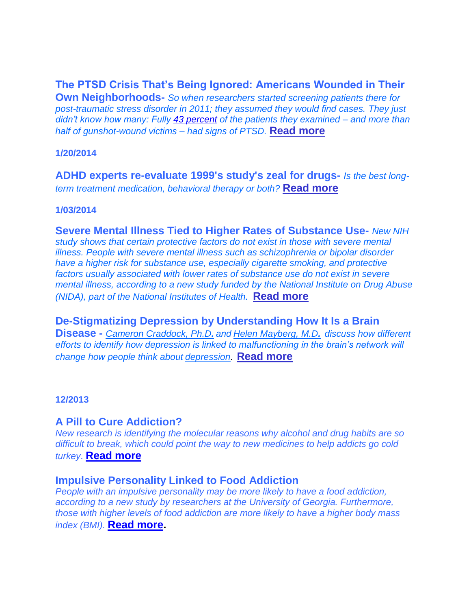# **The PTSD Crisis That's Being Ignored: Americans Wounded in Their**

**Own Neighborhoods-** *So when researchers started screening patients there for post-traumatic stress disorder in 2011; they assumed they would find cases. They just didn't know how many: Fully [43 percent](http://www.ncbi.nlm.nih.gov/pubmed/22846957) of the patients they examined – and more than half of gunshot-wound victims – had signs of PTSD.* **[Read more](http://www.propublica.org/article/the-ptsd-crisis-thats-being-ignored-americans-wounded-in-their-own-neighbor)**

#### **1/20/2014**

**ADHD experts re-evaluate 1999's study's zeal for drugs-** *Is the best longterm treatment medication, behavioral therapy or both?* **[Read more](http://health.heraldtribune.com/2014/01/20/adhd-experts-re-evaluate-1999s-studys-zeal-for-drugs/)**

## **1/03/2014**

**Severe Mental Illness Tied to Higher Rates of Substance Use-** *New NIH study shows that certain protective factors do not exist in those with severe mental illness. People with severe mental illness such as schizophrenia or bipolar disorder have a higher risk for substance use, especially cigarette smoking, and protective factors usually associated with lower rates of substance use do not exist in severe mental illness, according to a new study funded by the National Institute on Drug Abuse (NIDA), part of the National Institutes of Health.* **[Read more](http://www.nih.gov/news/health/jan2014/nida-03.htm)**

**De-Stigmatizing Depression by Understanding How It Is a Brain Disease -** *[Cameron Craddock, Ph.D](http://www.childmind.org/en/directory/scientists/ccraddock). and [Helen Mayberg, M.D](http://www.psychiatry.emory.edu/faculty/mayberg_helen.html). discuss how different efforts to identify how depression is linked to malfunctioning in the brain's network will change how people think about [depression](http://bbrfoundation.org/depression)*. **[Read more](http://bbrfoundation.org/brain-matters-discoveries/de-stigmatizing-depression-by-understanding-how-it-is-a-brain-disease)**

#### **12/2013**

# **A Pill to Cure Addiction?**

*New research is identifying the molecular reasons why alcohol and drug habits are so difficult to break, which could point the way to new medicines to help addicts go cold turkey*. **[Read more](http://naadac.informz.net/z/cjUucD9taT0yOTA2ODA1JnA9MSZ1PTgwNDcyNDYzMCZsaT0xNTkwOTYwNA/index.html)**

## **Impulsive Personality Linked to Food Addiction**

*People with an impulsive personality may be more likely to have a food addiction, according to a new study by researchers at the University of Georgia. Furthermore, those with higher levels of food addiction are more likely to have a higher body mass index (BMI).* **[Read more.](http://naadac.informz.net/z/cjUucD9taT0yOTA2ODA1JnA9MSZ1PTgwNDcyNDYzMCZsaT0xNTkwOTYyMA/index.html)**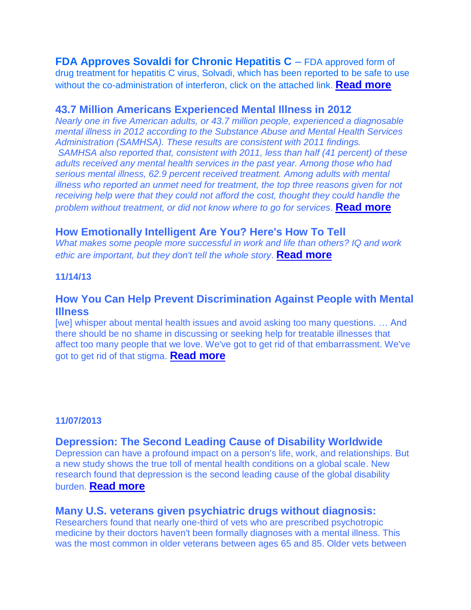**FDA Approves Sovaldi for Chronic Hepatitis C** *–* FDA approved form of drug treatment for hepatitis C virus, Solvadi, which has been reported to be safe to use without the co-administration of interferon, click on the attached link. **[Read more](http://www.nassaucountyny.gov/agencies/MentalHealth/Docs/PDF/Hepatitis.pdf)**

## **43.7 Million Americans Experienced Mental Illness in 2012**

*Nearly one in five American adults, or 43.7 million people, experienced a diagnosable mental illness in 2012 according to the Substance Abuse and Mental Health Services Administration (SAMHSA). These results are consistent with 2011 findings. SAMHSA also reported that, consistent with 2011, less than half (41 percent) of these adults received any mental health services in the past year. Among those who had serious mental illness, 62.9 percent received treatment. Among adults with mental illness who reported an unmet need for treatment, the top three reasons given for not receiving help were that they could not afford the cost, thought they could handle the problem without treatment, or did not know where to go for services*. **[Read more](http://content.govdelivery.com/accounts/USSAMHSA/bulletins/9aced4)**

## **How Emotionally Intelligent Are You? Here's How To Tell**

*What makes some people more successful in work and life than others? IQ and work ethic are important, but they don't tell the whole story*. **[Read more](http://www.huffingtonpost.com/2013/12/05/are-you-emotionally-intel_n_4371920.html)**

#### **11/14/13**

# **How You Can Help Prevent Discrimination Against People with Mental Illness**

[we] whisper about mental health issues and avoid asking too many questions. … And there should be no shame in discussing or seeking help for treatable illnesses that affect too many people that we love. We've got to get rid of that embarrassment. We've got to get rid of that stigma. **[Read more](http://www.nassaucountyny.gov/agencies/MentalHealth/Docs/PDF/Help%20Prevent%20Discrimination%20Against%20People%20with%20Mental%20Illness.pdf)**

## **11/07/2013**

#### **Depression: The Second Leading Cause of Disability Worldwide**

Depression can have a profound impact on a person's life, work, and relationships. But a new study shows the true toll of mental health conditions on a global scale. New research found that depression is the second leading cause of the global disability burden. **[Read more](http://r20.rs6.net/tn.jsp?e=001vNp0w1uDQ2SCeMQ1bAKTIxTf_4GnXRHKzB0S-xba6zA_S8HdGCG9QSH3mzTkinVaTbYr4k6WQVgATwKHRRy8KFl8-t-FZ9sK9GzRUupjBsmwv5VkA3kvWQDScZLxtxl6AAZ9hNHStPU6JpgZN4WHUyhHFuwKBUgKuppPUeI36qHLEerpBMIhhfTrRX9XOxy0P1GVB_YNR6oKYH43YT4uJ4VAxeVL-99SvJihHzkcDS2TrImSwpBtjRzSVoid6dVeJjsbQzc-00vy6sjWY8f6B-95I-nrXZJziaRoNWdz9gfOpYB_k0YraTdJupVdCdho7BBc3hlNnD67nRF-lG4n_ZuoTNUIq060)**

# **Many U.S. veterans given psychiatric drugs without diagnosis:**

Researchers found that nearly one-third of vets who are prescribed psychotropic medicine by their doctors haven't been formally diagnoses with a mental illness. This was the most common in older veterans between ages 65 and 85. Older vets between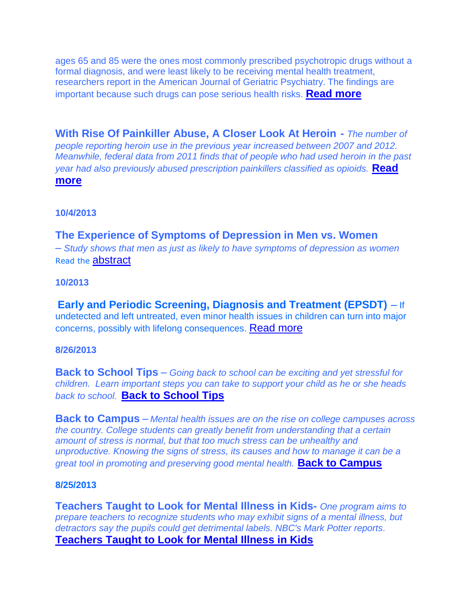ages 65 and 85 were the ones most commonly prescribed psychotropic drugs without a formal diagnosis, and were least likely to be receiving mental health treatment, researchers report in the American Journal of Geriatric Psychiatry. The findings are important because such drugs can pose serious health risks. **[Read more](http://r20.rs6.net/tn.jsp?e=001vNp0w1uDQ2Q7vADFVw2BcFgjFgFw1w3iTXzsBx6j0Y1rYIJvDhqGdMhrAxINleQN-mYhITG0sP5LhCdkEExD02mgSMM-LyHkk2dMJlBYIak8yDIqOhzeAjVw_Um9XT73-Mc6vRBm7aOIwYKeayVe76cOxaQq0qOAJGMjRLT-mlXidyc5qr8t4QaDNDPk7nteqbeWSp6uzULSF37TI-EDYmNPDXjTFKqkGd9lMmVpRvQ83TiYdkMTnwroFV26eyB7UGdZQ0DM4mg_UnVXPW3NxvJ82XLbszkIdsUmJzERWy4ATqqgRxP-jz73SZTkDP9bUqzh843yXQuEn1fCSSiNRaW24pJoTVu2gZRv6yC0nVE=)**

**With Rise Of Painkiller Abuse, A Closer Look At Heroin -** *The number of people reporting heroin use in the previous year increased between 2007 and 2012. Meanwhile, federal data from 2011 finds that of people who had used heroin in the past year had also previously abused prescription painkillers classified as opioids.* **[Read](http://www.npr.org/2013/11/02/242594489/with-rise-of-painkiller-abuse-a-closer-look-at-heroin)  [more](http://www.npr.org/2013/11/02/242594489/with-rise-of-painkiller-abuse-a-closer-look-at-heroin)**

**10/4/2013**

# **The Experience of Symptoms of Depression in Men vs. Women**  *– Study shows that men as just as likely to have symptoms of depression as women*  Read the **[abstract](http://r20.rs6.net/tn.jsp?e=0017euCQTNUZMG_4JWTiehbpeVbQE052k1XZCtRzn0yRU_kxl4ZHd0cMnaXIBACQZ_wcVSSAN4U8-yJhr_wJAZhK8lo0mT-iDTX3s97wsFuZt1wbx-WAo08U8pU6gHn2gIFpETJJoSucbRvPsICNjW4gkNNcfJ9K5aNImYILnuCzLtKvIvPiycdh0LlgDpdMXkRbuxJl5isw6Ps8ZUr1n3hwYX-5GfFVmDKXXC8wnWmBZpERYnM2y8m3uFNAO_tLrd62kgRtHWwUP9_E_ghGP-lYeQkAWxLkhUsLF4CMoMknNyMDp5nUwIckLSQXa8jKVemoeCj9S2X1JfOdkBPTzzI5w==)**

#### **10/2013**

**Early and Periodic Screening, Diagnosis and Treatment (EPSDT)** *–* If undetected and left untreated, even minor health issues in children can turn into major concerns, possibly with lifelong consequences. [Read more](http://www.nassaucountyny.gov/agencies/MentalHealth/Docs/PDF/EPSDT.pdf)

#### **8/26/2013**

**Back to School Tips** *– Going back to school can be exciting and yet stressful for children. Learn important steps you can take to support your child as he or she heads back to school.* **[Back to School Tips](http://www.mentalhealthamerica.net/go/back-to-school)**

**Back to Campus** *– Mental health issues are on the rise on college campuses across the country. College students can greatly benefit from understanding that a certain amount of stress is normal, but that too much stress can be unhealthy and unproductive. Knowing the signs of stress, its causes and how to manage it can be a great tool in promoting and preserving good mental health.* **[Back to Campus](http://www.mentalhealthamerica.net/go/backtocampus)**

#### **8/25/2013**

**Teachers Taught to Look for Mental Illness in Kids-** *One program aims to prepare teachers to recognize students who may exhibit signs of a mental illness, but detractors say the pupils could get detrimental labels. NBC's Mark Potter reports.* **[Teachers Taught to Look for Mental Illness in Kids](http://www.nbcnews.com/video/nightly-news/52843287/#52843287)**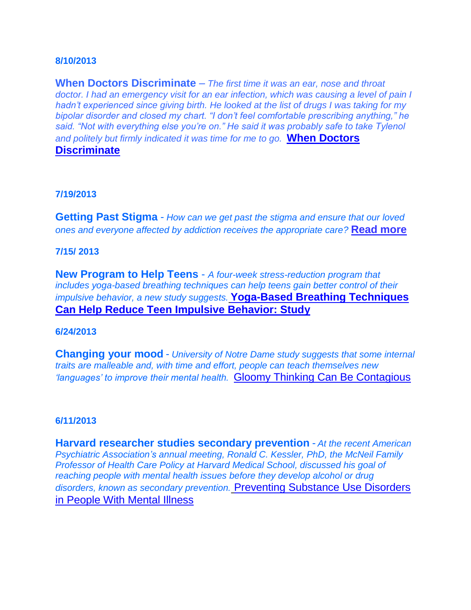#### **8/10/2013**

**When Doctors Discriminate** *– The first time it was an ear, nose and throat doctor. I had an emergency visit for an ear infection, which was causing a level of pain I hadn't experienced since giving birth. He looked at the list of drugs I was taking for my bipolar disorder and closed my chart. "I don't feel comfortable prescribing anything," he said. "Not with everything else you're on." He said it was probably safe to take Tylenol and politely but firmly indicated it was time for me to go.* **[When Doctors](http://www.nytimes.com/2013/08/11/opinion/sunday/when-doctors-discriminate.html?%2520Conditions,%2520and%2520Health%2520Topics/Psychiatry%2520and%2520Psychiatrists&_r=1&)  [Discriminate](http://www.nytimes.com/2013/08/11/opinion/sunday/when-doctors-discriminate.html?%2520Conditions,%2520and%2520Health%2520Topics/Psychiatry%2520and%2520Psychiatrists&_r=1&)** 

#### **7/19/2013**

**Getting Past Stigma** *- How can we get past the stigma and ensure that our loved ones and everyone affected by addiction receives the appropriate care?* **[Read more](http://drugfree.us2.list-manage.com/track/click?u=fe8b33972f29b8e3f893baefc&id=d20a82a971&e=42f92ff5b3)**

#### **7/15/ 2013**

**New Program to Help Teens** - *A four-week stress-reduction program that includes yoga-based breathing techniques can help teens gain better control of their impulsive behavior, a new study suggests.* **[Yoga-Based Breathing Techniques](http://drugfree.us2.list-manage1.com/track/click?u=fe8b33972f29b8e3f893baefc&id=671bef9aec&e=42f92ff5b3)  [Can Help Reduce Teen Impulsive Behavior: Study](http://drugfree.us2.list-manage1.com/track/click?u=fe8b33972f29b8e3f893baefc&id=671bef9aec&e=42f92ff5b3)** 

#### **6/24/2013**

**Changing your mood** - *University of Notre Dame study suggests that some internal traits are malleable and, with time and effort, people can teach themselves new 'languages' to improve their mental health.* [Gloomy Thinking Can Be Contagious](http://r20.rs6.net/tn.jsp?e=001ydxUuhFZnoNQNVp_o6uIcGDRKnMdovS7JpHpqKWAk839uCS0A-T6Qihy9vQ5NY2dQzVT0rOf-U1GEAGZS_qeaOB6wYuTtEZCigeuyJ5i2czCYbh5zWGU-OApM-9Xit_UToJ4TKuS0QJ6AGZDvXMpO4MtnO5Y2wfBdtLQrN6ZJAhhgw6MQMWEFsNtGhxg0NxxkcR5Zm5g0_5hwzHucYvIeQkZjtwpA-Wqku_0ePXL8pN4nKCaGtlbnXS__rjgTB8kR5kjtDzyYzO5wjKGoSlC_8HBC0sgrPaTOSCGjk48Q0rJQddyUMfJh0fo7L_jeeGXa96sLviRkok=)

#### **6/11/2013**

**[Harvard](http://drugfree.us2.list-manage.com/track/click?u=fe8b33972f29b8e3f893baefc&id=94a9febfd3&e=42f92ff5b3) researcher studies secondary prevention** - *At the recent American Psychiatric Association's annual meeting, Ronald C. Kessler, PhD, the McNeil Family Professor of Health Care Policy at Harvard Medical School, discussed his goal of reaching people with mental health issues before they develop alcohol or drug disorders, known as secondary prevention.* [Preventing Substance Use Disorders](http://drugfree.us2.list-manage.com/track/click?u=fe8b33972f29b8e3f893baefc&id=94a9febfd3&e=42f92ff5b3)  [in People With Mental Illness](http://drugfree.us2.list-manage.com/track/click?u=fe8b33972f29b8e3f893baefc&id=94a9febfd3&e=42f92ff5b3)